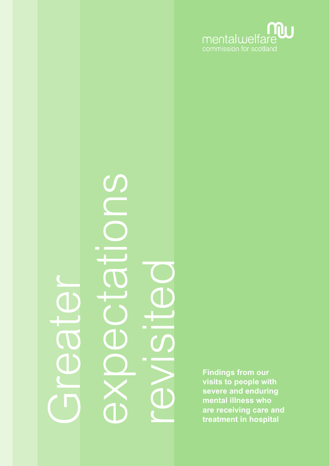

# expectations S **1990 - 1990 - 1990 - 1990 - 1990 - 1990 - 1990 - 1990 - 1990 - 1990 - 1990 - 1990 - 1990 - 1990 - 1990 - 1990 - 1990 - 1990 - 1990 - 1990 - 1990 - 1990 - 1990 - 1990 - 1990 - 1990 - 1990 - 1990 - 1990 - 1990 - 1990 - 1990** Greater

**visits to people with severe and enduring mental illness who are receiving care and treatment in hospital**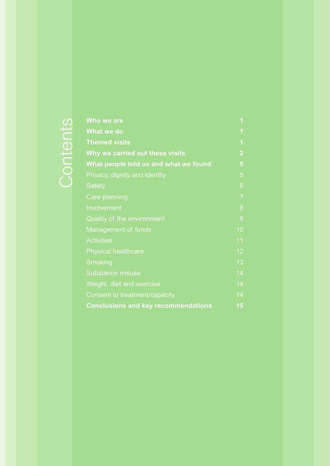|          | Who we are                                 | 1                       |
|----------|--------------------------------------------|-------------------------|
|          | What we do                                 | $\overline{\mathbf{1}}$ |
| jontents | <b>Themed visits</b>                       | $\overline{\mathbf{1}}$ |
|          | Why we carried out these visits            | $\overline{2}$          |
|          | What people told us and what we found      | 5                       |
|          | Privacy, dignity and identity              | 5                       |
|          | <b>Safety</b>                              | 6                       |
|          | <b>Care planning</b>                       | $\overline{7}$          |
|          | Involvement                                | 8                       |
|          | Quality of the environment                 | 8                       |
|          | Management of funds                        | 10                      |
|          | <b>Activities</b>                          | 11                      |
|          | <b>Physical healthcare</b>                 | 12                      |
|          | <b>Smoking</b>                             | 13                      |
|          | <b>Substance misuse</b>                    | 14                      |
|          | Weight, diet and exercise                  | 14                      |
|          | Consent to treatment/capacity              | 14                      |
|          | <b>Conclusions and key recommendations</b> | 15                      |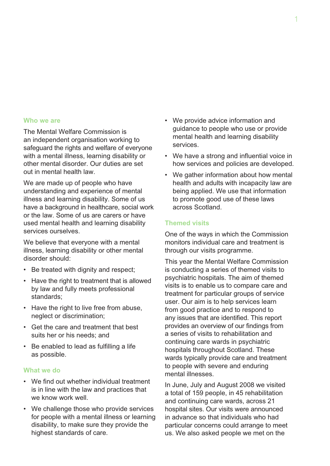#### **Who we are**

The Mental Welfare Commission is an independent organisation working to safeguard the rights and welfare of everyone with a mental illness, learning disability or other mental disorder. Our duties are set out in mental health law.

We are made up of people who have understanding and experience of mental illness and learning disability. Some of us have a background in healthcare, social work or the law. Some of us are carers or have used mental health and learning disability services ourselves.

We believe that everyone with a mental illness, learning disability or other mental disorder should:

- Be treated with dignity and respect;
- Have the right to treatment that is allowed by law and fully meets professional standards;
- Have the right to live free from abuse, neglect or discrimination;
- Get the care and treatment that best suits her or his needs; and
- Be enabled to lead as fulfilling a life as possible.

#### **What we do**

- We find out whether individual treatment is in line with the law and practices that we know work well.
- We challenge those who provide services for people with a mental illness or learning disability, to make sure they provide the highest standards of care.
- We provide advice information and guidance to people who use or provide mental health and learning disability services.
- We have a strong and influential voice in how services and policies are developed.
- We gather information about how mental health and adults with incapacity law are being applied. We use that information to promote good use of these laws across Scotland.

#### **Themed visits**

One of the ways in which the Commission monitors individual care and treatment is through our visits programme.

This year the Mental Welfare Commission is conducting a series of themed visits to psychiatric hospitals. The aim of themed visits is to enable us to compare care and treatment for particular groups of service user. Our aim is to help services learn from good practice and to respond to any issues that are identified. This report provides an overview of our findings from a series of visits to rehabilitation and continuing care wards in psychiatric hospitals throughout Scotland. These wards typically provide care and treatment to people with severe and enduring mental illnesses.

In June, July and August 2008 we visited a total of 159 people, in 45 rehabilitation and continuing care wards, across 21 hospital sites. Our visits were announced in advance so that individuals who had particular concerns could arrange to meet us. We also asked people we met on the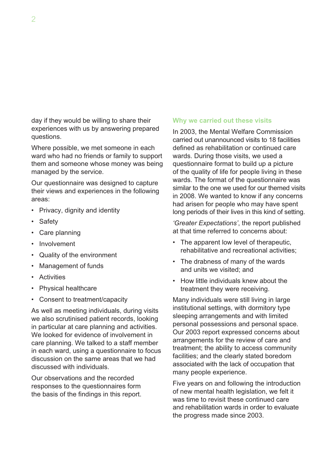day if they would be willing to share their experiences with us by answering prepared questions.

Where possible, we met someone in each ward who had no friends or family to support them and someone whose money was being managed by the service.

Our questionnaire was designed to capture their views and experiences in the following areas:

- Privacy, dignity and identity
- Safety
- Care planning
- Involvement
- Quality of the environment
- Management of funds
- Activities
- Physical healthcare
- Consent to treatment/capacity

As well as meeting individuals, during visits we also scrutinised patient records, looking in particular at care planning and activities. We looked for evidence of involvement in care planning. We talked to a staff member in each ward, using a questionnaire to focus discussion on the same areas that we had discussed with individuals.

Our observations and the recorded responses to the questionnaires form the basis of the findings in this report.

#### **Why we carried out these visits**

In 2003, the Mental Welfare Commission carried out unannounced visits to 18 facilities defined as rehabilitation or continued care wards. During those visits, we used a questionnaire format to build up a picture of the quality of life for people living in these wards. The format of the questionnaire was similar to the one we used for our themed visits in 2008. We wanted to know if any concerns had arisen for people who may have spent long periods of their lives in this kind of setting.

*'Greater Expectations'*, the report published at that time referred to concerns about:

- The apparent low level of therapeutic, rehabilitative and recreational activities;
- The drabness of many of the wards and units we visited; and
- How little individuals knew about the treatment they were receiving.

Many individuals were still living in large institutional settings, with dormitory type sleeping arrangements and with limited personal possessions and personal space. Our 2003 report expressed concerns about arrangements for the review of care and treatment; the ability to access community facilities; and the clearly stated boredom associated with the lack of occupation that many people experience.

Five years on and following the introduction of new mental health legislation, we felt it was time to revisit these continued care and rehabilitation wards in order to evaluate the progress made since 2003.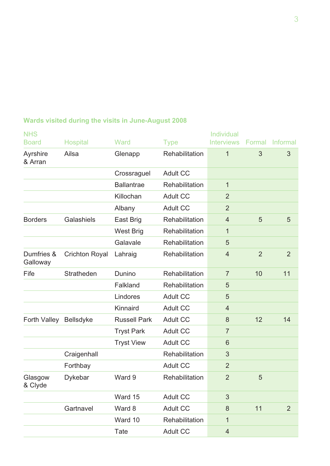| <b>NHS</b>             |                       |                     |                 | Individual        |                |                 |
|------------------------|-----------------------|---------------------|-----------------|-------------------|----------------|-----------------|
| <b>Board</b>           | <b>Hospital</b>       | Ward                | <b>Type</b>     | <b>Interviews</b> |                | Formal Informal |
| Ayrshire<br>& Arran    | Ailsa                 | Glenapp             | Rehabilitation  | $\overline{1}$    | 3              | 3               |
|                        |                       | Crossraguel         | <b>Adult CC</b> |                   |                |                 |
|                        |                       | <b>Ballantrae</b>   | Rehabilitation  | 1                 |                |                 |
|                        |                       | Killochan           | <b>Adult CC</b> | $\overline{2}$    |                |                 |
|                        |                       | Albany              | <b>Adult CC</b> | $\overline{2}$    |                |                 |
| <b>Borders</b>         | Galashiels            | East Brig           | Rehabilitation  | $\overline{4}$    | 5              | 5               |
|                        |                       | <b>West Brig</b>    | Rehabilitation  | 1                 |                |                 |
|                        |                       | Galavale            | Rehabilitation  | 5                 |                |                 |
| Dumfries &<br>Galloway | <b>Crichton Royal</b> | Lahraig             | Rehabilitation  | $\overline{4}$    | $\overline{2}$ | $\overline{2}$  |
| Fife                   | Stratheden            | Dunino              | Rehabilitation  | $\overline{7}$    | 10             | 11              |
|                        |                       | Falkland            | Rehabilitation  | 5                 |                |                 |
|                        |                       | Lindores            | <b>Adult CC</b> | 5                 |                |                 |
|                        |                       | Kinnaird            | <b>Adult CC</b> | $\overline{4}$    |                |                 |
| Forth Valley           | <b>Bellsdyke</b>      | <b>Russell Park</b> | <b>Adult CC</b> | 8                 | 12             | 14              |
|                        |                       | <b>Tryst Park</b>   | <b>Adult CC</b> | $\overline{7}$    |                |                 |
|                        |                       | <b>Tryst View</b>   | <b>Adult CC</b> | 6                 |                |                 |
|                        | Craigenhall           |                     | Rehabilitation  | 3                 |                |                 |
|                        | Forthbay              |                     | <b>Adult CC</b> | $\overline{2}$    |                |                 |
| Glasgow<br>& Clyde     | <b>Dykebar</b>        | Ward 9              | Rehabilitation  | $\overline{2}$    | 5              |                 |
|                        |                       | Ward 15             | <b>Adult CC</b> | 3                 |                |                 |
|                        | Gartnavel             | Ward 8              | <b>Adult CC</b> | 8                 | 11             | $\overline{2}$  |
|                        |                       | Ward 10             | Rehabilitation  | 1                 |                |                 |
|                        |                       | Tate                | <b>Adult CC</b> | $\overline{4}$    |                |                 |

# **Wards visited during the visits in June-August 2008**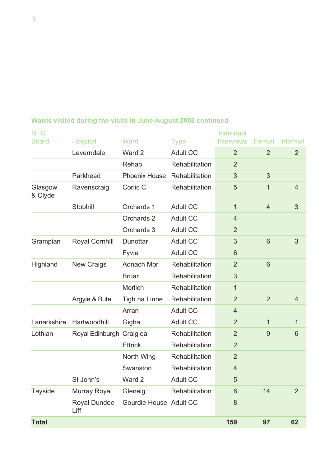| <b>NHS</b>         |                             |                        |                 | Individual        |                 |                |
|--------------------|-----------------------------|------------------------|-----------------|-------------------|-----------------|----------------|
| <b>Board</b>       | <b>Hospital</b>             | Ward                   | <b>Type</b>     | <b>Interviews</b> | Formal          | Informal       |
|                    | Leverndale                  | Ward 2                 | <b>Adult CC</b> | $\overline{2}$    | $\overline{2}$  | $\overline{2}$ |
|                    |                             | Rehab                  | Rehabilitation  | $\overline{2}$    |                 |                |
|                    | Parkhead                    | Phoenix House          | Rehabilitation  | 3                 | 3               |                |
| Glasgow<br>& Clyde | Ravenscraig                 | Corlic C               | Rehabilitation  | 5                 | 1               | $\overline{4}$ |
|                    | Stobhill                    | Orchards 1             | <b>Adult CC</b> | 1                 | $\overline{4}$  | 3              |
|                    |                             | Orchards 2             | <b>Adult CC</b> | $\overline{4}$    |                 |                |
|                    |                             | Orchards 3             | <b>Adult CC</b> | $\overline{2}$    |                 |                |
| Grampian           | <b>Royal Cornhill</b>       | Dunottar               | <b>Adult CC</b> | 3                 | $6\phantom{1}6$ | 3              |
|                    |                             | Fyvie                  | <b>Adult CC</b> | 6                 |                 |                |
| Highland           | <b>New Craigs</b>           | Aonach Mor             | Rehabilitation  | $\overline{2}$    | $6\phantom{1}6$ |                |
|                    |                             | <b>Bruar</b>           | Rehabilitation  | 3                 |                 |                |
|                    |                             | Morlich                | Rehabilitation  | 1                 |                 |                |
|                    | Argyle & Bute               | Tigh na Linne          | Rehabilitation  | $\overline{2}$    | $\overline{2}$  | $\overline{4}$ |
|                    |                             | Arran                  | <b>Adult CC</b> | $\overline{4}$    |                 |                |
| Lanarkshire        | Hartwoodhill                | Gigha                  | <b>Adult CC</b> | $\overline{2}$    | $\mathbf{1}$    | 1              |
| Lothian            | Royal Edinburgh             | Craiglea               | Rehabilitation  | $\overline{2}$    | 9               | 6              |
|                    |                             | <b>Ettrick</b>         | Rehabilitation  | $\overline{2}$    |                 |                |
|                    |                             | North Wing             | Rehabilitation  | $\overline{2}$    |                 |                |
|                    |                             | Swanston               | Rehabilitation  | $\overline{4}$    |                 |                |
|                    | St John's                   | Ward 2                 | <b>Adult CC</b> | 5                 |                 |                |
| <b>Tayside</b>     | Murray Royal                | Glenelg                | Rehabilitation  | 8                 | 14              | $\overline{2}$ |
|                    | <b>Royal Dundee</b><br>Liff | Gourdie House Adult CC |                 | 8                 |                 |                |
| <b>Total</b>       |                             |                        |                 | 159               | 97              | 62             |

## **Wards visited during the visits in June-August 2008 continued**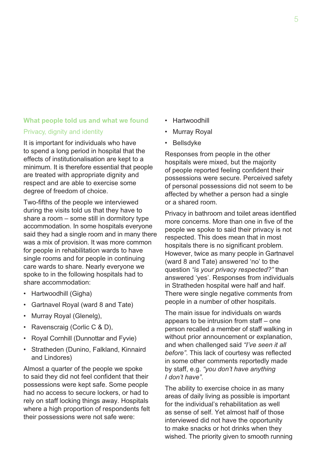#### **What people told us and what we found**

#### Privacy, dignity and identity

It is important for individuals who have to spend a long period in hospital that the effects of institutionalisation are kept to a minimum. It is therefore essential that people are treated with appropriate dignity and respect and are able to exercise some degree of freedom of choice.

Two-fifths of the people we interviewed during the visits told us that they have to share a room – some still in dormitory type accommodation. In some hospitals everyone said they had a single room and in many there was a mix of provision. It was more common for people in rehabilitation wards to have single rooms and for people in continuing care wards to share. Nearly everyone we spoke to in the following hospitals had to share accommodation:

- Hartwoodhill (Gigha)
- Gartnavel Royal (ward 8 and Tate)
- Murray Royal (Glenelg),
- Ravenscraig (Corlic C & D),
- Royal Cornhill (Dunnottar and Fyvie)
- Stratheden (Dunino, Falkland, Kinnaird and Lindores)

Almost a quarter of the people we spoke to said they did not feel confident that their possessions were kept safe. Some people had no access to secure lockers, or had to rely on staff locking things away. Hospitals where a high proportion of respondents felt their possessions were not safe were:

- Hartwoodhill
- **Murray Royal**
- **Bellsdyke**

Responses from people in the other hospitals were mixed, but the majority of people reported feeling confident their possessions were secure. Perceived safety of personal possessions did not seem to be affected by whether a person had a single or a shared room.

Privacy in bathroom and toilet areas identified more concerns. More than one in five of the people we spoke to said their privacy is not respected. This does mean that in most hospitals there is no significant problem. However, twice as many people in Gartnavel (ward 8 and Tate) answered 'no' to the question *"is your privacy respected?"* than answered 'yes'. Responses from individuals in Stratheden hospital were half and half. There were single negative comments from people in a number of other hospitals.

The main issue for individuals on wards appears to be intrusion from staff – one person recalled a member of staff walking in without prior announcement or explanation, and when challenged said *"I've seen it all before"*. This lack of courtesy was reflected in some other comments reportedly made by staff, e.g. *"you don't have anything I don't have"*.

The ability to exercise choice in as many areas of daily living as possible is important for the individual's rehabilitation as well as sense of self. Yet almost half of those interviewed did not have the opportunity to make snacks or hot drinks when they wished. The priority given to smooth running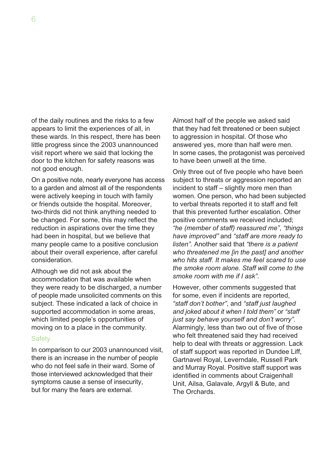of the daily routines and the risks to a few appears to limit the experiences of all, in these wards. In this respect, there has been little progress since the 2003 unannounced visit report where we said that locking the door to the kitchen for safety reasons was not good enough.

On a positive note, nearly everyone has access to a garden and almost all of the respondents were actively keeping in touch with family or friends outside the hospital. Moreover, two-thirds did not think anything needed to be changed. For some, this may reflect the reduction in aspirations over the time they had been in hospital, but we believe that many people came to a positive conclusion about their overall experience, after careful consideration.

Although we did not ask about the accommodation that was available when they were ready to be discharged, a number of people made unsolicited comments on this subject. These indicated a lack of choice in supported accommodation in some areas, which limited people's opportunities of moving on to a place in the community.

#### **Safety**

In comparison to our 2003 unannounced visit, there is an increase in the number of people who do not feel safe in their ward. Some of those interviewed acknowledged that their symptoms cause a sense of insecurity, but for many the fears are external.

Almost half of the people we asked said that they had felt threatened or been subject to aggression in hospital. Of those who answered yes, more than half were men. In some cases, the protagonist was perceived to have been unwell at the time.

Only three out of five people who have been subject to threats or aggression reported an incident to staff – slightly more men than women. One person, who had been subjected to verbal threats reported it to staff and felt that this prevented further escalation. Other positive comments we received included; *"he (member of staff) reassured me"*, *"things have improved"* and *"staff are more ready to listen"*. Another said that *"there is a patient who threatened me [in the past] and another who hits staff. It makes me feel scared to use the smoke room alone. Staff will come to the smoke room with me if I ask"*.

However, other comments suggested that for some, even if incidents are reported, *"staff don't bother"*, and *"staff just laughed and joked about it when I told them"* or *"staff just say behave yourself and don't worry"*. Alarmingly, less than two out of five of those who felt threatened said they had received help to deal with threats or aggression. Lack of staff support was reported in Dundee Liff, Gartnavel Royal, Leverndale, Russell Park and Murray Royal. Positive staff support was identified in comments about Craigenhall Unit, Ailsa, Galavale, Argyll & Bute, and The Orchards.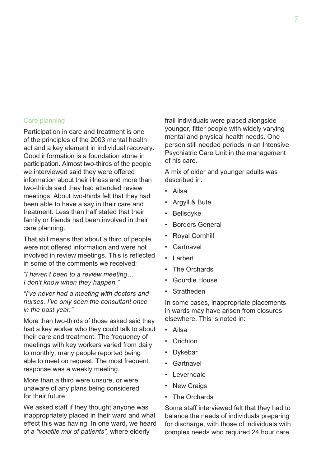#### Care planning

Participation in care and treatment is one of the principles of the 2003 mental health act and a key element in individual recovery. Good information is a foundation stone in participation. Almost two-thirds of the people we interviewed said they were offered information about their illness and more than two-thirds said they had attended review meetings. About two-thirds felt that they had been able to have a say in their care and treatment. Less than half stated that their family or friends had been involved in their care planning.

That still means that about a third of people were not offered information and were not involved in review meetings. This is reflected in some of the comments we received:

*"I haven't been to a review meeting… I don't know when they happen."*

*"I've never had a meeting with doctors and nurses. I've only seen the consultant once in the past year."*

More than two-thirds of those asked said they had a key worker who they could talk to about their care and treatment. The frequency of meetings with key workers varied from daily to monthly, many people reported being able to meet on request. The most frequent response was a weekly meeting.

More than a third were unsure, or were unaware of any plans being considered for their future.

We asked staff if they thought anyone was inappropriately placed in their ward and what effect this was having. In one ward, we heard of a *"volatile mix of patients",* where elderly

frail individuals were placed alongside younger, fitter people with widely varying mental and physical health needs. One person still needed periods in an Intensive Psychiatric Care Unit in the management of his care.

A mix of older and younger adults was described in:

- Ailsa
- Argyll & Bute
- **Bellsdyke**
- **Borders General**
- Royal Cornhill
- Gartnavel
- **Larbert**
- **The Orchards**
- Gourdie House
- **Stratheden**

In some cases, inappropriate placements in wards may have arisen from closures elsewhere. This is noted in:

- Ailsa
- Crichton
- Dykebar
- **Gartnavel**
- Leverndale
- **New Craigs**
- **The Orchards**

Some staff interviewed felt that they had to balance the needs of individuals preparing for discharge, with those of individuals with complex needs who required 24 hour care.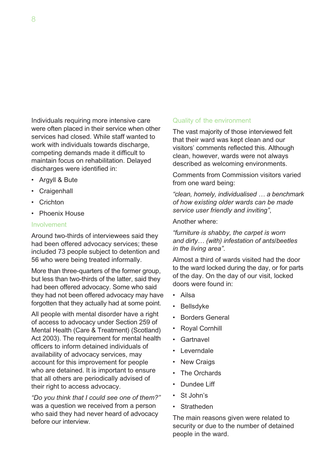Individuals requiring more intensive care were often placed in their service when other services had closed. While staff wanted to work with individuals towards discharge. competing demands made it difficult to maintain focus on rehabilitation. Delayed discharges were identified in:

- Argyll & Bute
- Craigenhall
- Crichton
- Phoenix House

#### Involvement

Around two-thirds of interviewees said they had been offered advocacy services; these included 73 people subject to detention and 56 who were being treated informally.

More than three-quarters of the former group, but less than two-thirds of the latter, said they had been offered advocacy. Some who said they had not been offered advocacy may have forgotten that they actually had at some point.

All people with mental disorder have a right of access to advocacy under Section 259 of Mental Health (Care & Treatment) (Scotland) Act 2003). The requirement for mental health officers to inform detained individuals of availability of advocacy services, may account for this improvement for people who are detained. It is important to ensure that all others are periodically advised of their right to access advocacy.

*"Do you think that I could see one of them?"*  was a question we received from a person who said they had never heard of advocacy before our interview.

#### Quality of the environment

The vast majority of those interviewed felt that their ward was kept clean and our visitors' comments reflected this. Although clean, however, wards were not always described as welcoming environments.

Comments from Commission visitors varied from one ward being:

*"clean, homely, individualised … a benchmark of how existing older wards can be made service user friendly and inviting"*,

#### Another where:

*"furniture is shabby, the carpet is worn and dirty… (with) infestation of ants/beetles in the living area"*.

Almost a third of wards visited had the door to the ward locked during the day, or for parts of the day. On the day of our visit, locked doors were found in:

- Ailsa
- **Bellsdyke**
- **Borders General**
- Royal Cornhill
- Gartnavel
- Leverndale
- New Craigs
- The Orchards
- Dundee Liff
- St John's
- Stratheden

The main reasons given were related to security or due to the number of detained people in the ward.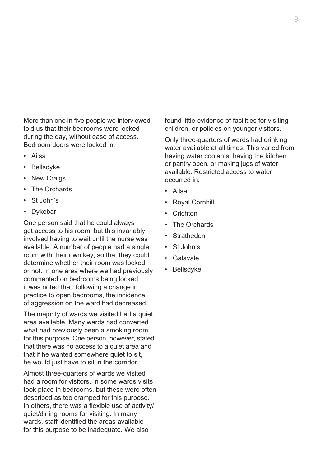More than one in five people we interviewed told us that their bedrooms were locked during the day, without ease of access. Bedroom doors were locked in:

- Ailsa
- **Bellsdyke**
- New Craigs
- The Orchards
- St John's
- Dykebar

One person said that he could always get access to his room, but this invariably involved having to wait until the nurse was available. A number of people had a single room with their own key, so that they could determine whether their room was locked or not. In one area where we had previously commented on bedrooms being locked, it was noted that, following a change in practice to open bedrooms, the incidence of aggression on the ward had decreased.

The majority of wards we visited had a quiet area available. Many wards had converted what had previously been a smoking room for this purpose. One person, however, stated that there was no access to a quiet area and that if he wanted somewhere quiet to sit, he would just have to sit in the corridor.

Almost three-quarters of wards we visited had a room for visitors. In some wards visits took place in bedrooms, but these were often described as too cramped for this purpose. In others, there was a flexible use of activity/ quiet/dining rooms for visiting. In many wards, staff identified the areas available for this purpose to be inadequate. We also

found little evidence of facilities for visiting children, or policies on younger visitors.

Only three-quarters of wards had drinking water available at all times. This varied from having water coolants, having the kitchen or pantry open, or making jugs of water available. Restricted access to water occurred in:

- Ailsa
- Royal Cornhill
- **Crichton**
- **The Orchards**
- Stratheden
- St John's
- Galavale
- **Bellsdyke**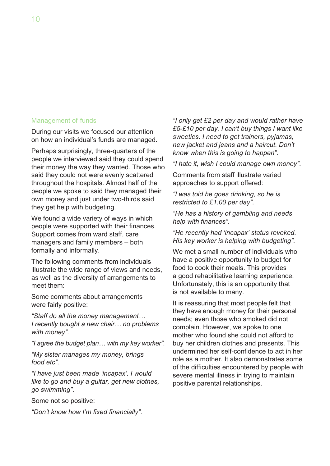#### Management of funds

During our visits we focused our attention on how an individual's funds are managed.

Perhaps surprisingly, three-quarters of the people we interviewed said they could spend their money the way they wanted. Those who said they could not were evenly scattered throughout the hospitals. Almost half of the people we spoke to said they managed their own money and just under two-thirds said they get help with budgeting.

We found a wide variety of ways in which people were supported with their finances. Support comes from ward staff, care managers and family members – both formally and informally.

The following comments from individuals illustrate the wide range of views and needs, as well as the diversity of arrangements to meet them:

Some comments about arrangements were fairly positive:

*"Staff do all the money management… I recently bought a new chair… no problems with money"*.

*"I agree the budget plan… with my key worker"*.

*"My sister manages my money, brings food etc"*.

*"I have just been made 'incapax'. I would like to go and buy a guitar, get new clothes, go swimming"*.

Some not so positive:

*"Don't know how I'm fixed financially"*.

*"I only get £2 per day and would rather have £5-£10 per day. I can't buy things I want like sweeties. I need to get trainers, pyjamas, new jacket and jeans and a haircut. Don't know when this is going to happen"*.

*"I hate it, wish I could manage own money"*.

Comments from staff illustrate varied approaches to support offered:

*"I was told he goes drinking, so he is restricted to £1.00 per day"*.

*"He has a history of gambling and needs help with finances"*.

*"He recently had 'incapax' status revoked. His key worker is helping with budgeting"*.

We met a small number of individuals who have a positive opportunity to budget for food to cook their meals. This provides a good rehabilitative learning experience. Unfortunately, this is an opportunity that is not available to many.

It is reassuring that most people felt that they have enough money for their personal needs; even those who smoked did not complain. However, we spoke to one mother who found she could not afford to buy her children clothes and presents. This undermined her self-confidence to act in her role as a mother. It also demonstrates some of the difficulties encountered by people with severe mental illness in trying to maintain positive parental relationships.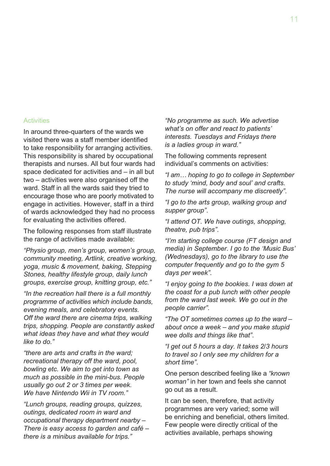#### **Activities**

In around three-quarters of the wards we visited there was a staff member identified to take responsibility for arranging activities. This responsibility is shared by occupational therapists and nurses. All but four wards had space dedicated for activities and – in all but two – activities were also organised off the ward. Staff in all the wards said they tried to encourage those who are poorly motivated to engage in activities. However, staff in a third of wards acknowledged they had no process for evaluating the activities offered.

The following responses from staff illustrate the range of activities made available:

*"Physio group, men's group, women's group, community meeting, Artlink, creative working, yoga, music & movement, baking, Stepping Stones, healthy lifestyle group, daily lunch groups, exercise group, knitting group, etc."*

*"In the recreation hall there is a full monthly programme of activities which include bands, evening meals, and celebratory events. Off the ward there are cinema trips, walking trips, shopping. People are constantly asked what ideas they have and what they would like to do."*

*"there are arts and crafts in the ward; recreational therapy off the ward, pool, bowling etc. We aim to get into town as much as possible in the mini-bus. People usually go out 2 or 3 times per week. We have Nintendo Wii in TV room."*

*"Lunch groups, reading groups, quizzes, outings, dedicated room in ward and occupational therapy department nearby – There is easy access to garden and café – there is a minibus available for trips."*

*"No programme as such. We advertise what's on offer and react to patients' interests. Tuesdays and Fridays there is a ladies group in ward."*

The following comments represent individual's comments on activities:

*"I am… hoping to go to college in September to study 'mind, body and soul' and crafts. The nurse will accompany me discreetly"*.

*"I go to the arts group, walking group and supper group"*.

*"I attend OT. We have outings, shopping, theatre, pub trips"*.

*"I'm starting college course (FT design and media) in September. I go to the 'Music Bus' (Wednesdays), go to the library to use the computer frequently and go to the gym 5 days per week"*.

*"I enjoy going to the bookies. I was down at the coast for a pub lunch with other people from the ward last week. We go out in the people carrier"*.

*"The OT sometimes comes up to the ward – about once a week – and you make stupid wee dolls and things like that"*.

*"I get out 5 hours a day. It takes 2/3 hours to travel so I only see my children for a short time"*.

One person described feeling like a *"known woman"* in her town and feels she cannot go out as a result.

It can be seen, therefore, that activity programmes are very varied; some will be enriching and beneficial, others limited. Few people were directly critical of the activities available, perhaps showing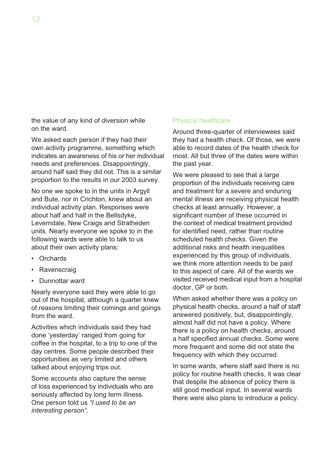the value of any kind of diversion while on the ward.

We asked each person if they had their own activity programme, something which indicates an awareness of his or her individual needs and preferences. Disappointingly, around half said they did not. This is a similar proportion to the results in our 2003 survey.

No one we spoke to in the units in Argyll and Bute, nor in Crichton, knew about an individual activity plan. Responses were about half and half in the Bellsdyke, Leverndale, New Craigs and Stratheden units. Nearly everyone we spoke to in the following wards were able to talk to us about their own activity plans:

- Orchards
- Ravenscraig
- Dunnottar ward

Nearly everyone said they were able to go out of the hospital, although a quarter knew of reasons limiting their comings and goings from the ward.

Activities which individuals said they had done 'yesterday' ranged from going for coffee in the hospital, to a trip to one of the day centres. Some people described their opportunities as very limited and others talked about enjoying trips out.

Some accounts also capture the sense of loss experienced by individuals who are seriously affected by long term illness. One person told us *"I used to be an interesting person"*.

#### Physical healthcare

Around three-quarter of interviewees said they had a health check. Of those, we were able to record dates of the health check for most. All but three of the dates were within the past year.

We were pleased to see that a large proportion of the individuals receiving care and treatment for a severe and enduring mental illness are receiving physical health checks at least annually. However, a significant number of these occurred in the context of medical treatment provided for identified need, rather than routine scheduled health checks. Given the additional risks and health inequalities experienced by this group of individuals, we think more attention needs to be paid to this aspect of care. All of the wards we visited received medical input from a hospital doctor, GP or both.

When asked whether there was a policy on physical health checks, around a half of staff answered positively, but, disappointingly, almost half did not have a policy. Where there is a policy on health checks, around a half specified annual checks. Some were more frequent and some did not state the frequency with which they occurred.

In some wards, where staff said there is no policy for routine health checks, it was clear that despite the absence of policy there is still good medical input. In several wards there were also plans to introduce a policy.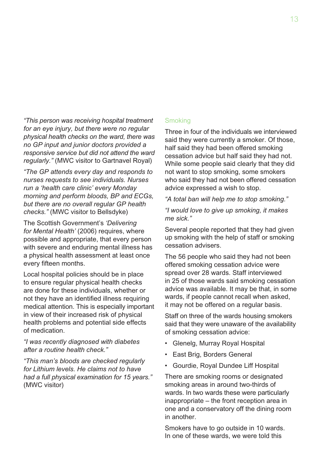*"This person was receiving hospital treatment for an eye injury, but there were no regular physical health checks on the ward, there was no GP input and junior doctors provided a responsive service but did not attend the ward regularly."* (MWC visitor to Gartnavel Royal)

*"The GP attends every day and responds to nurses requests to see individuals. Nurses run a 'health care clinic' every Monday morning and perform bloods, BP and ECGs, but there are no overall regular GP health checks."* (MWC visitor to Bellsdyke)

The Scottish Government's *'Delivering for Mental Health'* (2006) requires, where possible and appropriate, that every person with severe and enduring mental illness has a physical health assessment at least once every fifteen months.

Local hospital policies should be in place to ensure regular physical health checks are done for these individuals, whether or not they have an identified illness requiring medical attention. This is especially important in view of their increased risk of physical health problems and potential side effects of medication.

*"I was recently diagnosed with diabetes after a routine health check."*

*"This man's bloods are checked regularly for Lithium levels. He claims not to have had a full physical examination for 15 years."*  (MWC visitor)

#### **Smoking**

Three in four of the individuals we interviewed said they were currently a smoker. Of those, half said they had been offered smoking cessation advice but half said they had not. While some people said clearly that they did not want to stop smoking, some smokers who said they had not been offered cessation advice expressed a wish to stop.

*"A total ban will help me to stop smoking."*

*"I would love to give up smoking, it makes me sick."*

Several people reported that they had given up smoking with the help of staff or smoking cessation advisers.

The 56 people who said they had not been offered smoking cessation advice were spread over 28 wards. Staff interviewed in 25 of those wards said smoking cessation advice was available. It may be that, in some wards, if people cannot recall when asked, it may not be offered on a regular basis.

Staff on three of the wards housing smokers said that they were unaware of the availability of smoking cessation advice:

- Glenelg, Murray Royal Hospital
- East Brig, Borders General
- Gourdie, Royal Dundee Liff Hospital

There are smoking rooms or designated smoking areas in around two-thirds of wards. In two wards these were particularly inappropriate – the front reception area in one and a conservatory off the dining room in another.

Smokers have to go outside in 10 wards. In one of these wards, we were told this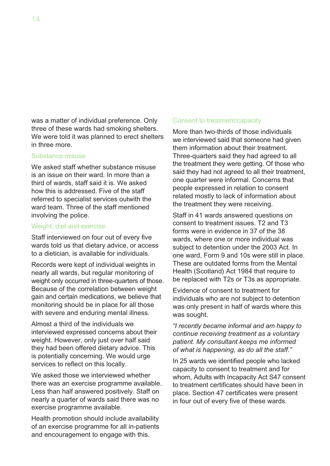was a matter of individual preference. Only three of these wards had smoking shelters. We were told it was planned to erect shelters in three more.

#### Substance misuse

We asked staff whether substance misuse is an issue on their ward. In more than a third of wards, staff said it is. We asked how this is addressed. Five of the staff referred to specialist services outwith the ward team. Three of the staff mentioned involving the police.

#### Weight, diet and exercise

Staff interviewed on four out of every five wards told us that dietary advice, or access to a dietician, is available for individuals.

Records were kept of individual weights in nearly all wards, but regular monitoring of weight only occurred in three-quarters of those. Because of the correlation between weight gain and certain medications, we believe that monitoring should be in place for all those with severe and enduring mental illness.

Almost a third of the individuals we interviewed expressed concerns about their weight. However, only just over half said they had been offered dietary advice. This is potentially concerning. We would urge services to reflect on this locally.

We asked those we interviewed whether there was an exercise programme available. Less than half answered positively. Staff on nearly a quarter of wards said there was no exercise programme available.

Health promotion should include availability of an exercise programme for all in-patients and encouragement to engage with this.

#### Consent to treatment/capacity

More than two-thirds of those individuals we interviewed said that someone had given them information about their treatment. Three-quarters said they had agreed to all the treatment they were getting. Of those who said they had not agreed to all their treatment, one quarter were informal. Concerns that people expressed in relation to consent related mostly to lack of information about the treatment they were receiving.

Staff in 41 wards answered questions on consent to treatment issues. T2 and T3 forms were in evidence in 37 of the 38 wards, where one or more individual was subject to detention under the 2003 Act. In one ward, Form 9 and 10s were still in place. These are outdated forms from the Mental Health (Scotland) Act 1984 that require to be replaced with T2s or T3s as appropriate.

Evidence of consent to treatment for individuals who are not subject to detention was only present in half of wards where this was sought.

*"I recently became informal and am happy to continue receiving treatment as a voluntary patient. My consultant keeps me informed of what is happening, as do all the staff."*

In 25 wards we identified people who lacked capacity to consent to treatment and for whom, Adults with Incapacity Act S47 consent to treatment certificates should have been in place. Section 47 certificates were present in four out of every five of these wards.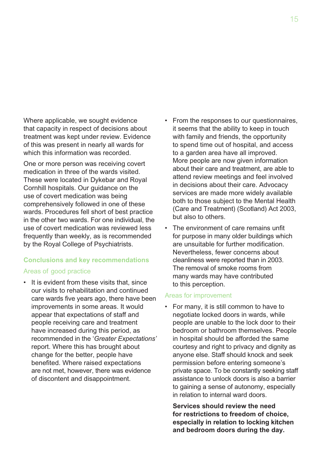Where applicable, we sought evidence that capacity in respect of decisions about treatment was kept under review. Evidence of this was present in nearly all wards for which this information was recorded.

One or more person was receiving covert medication in three of the wards visited. These were located in Dykebar and Royal Cornhill hospitals. Our guidance on the use of covert medication was being comprehensively followed in one of these wards. Procedures fell short of best practice in the other two wards. For one individual, the use of covert medication was reviewed less frequently than weekly, as is recommended by the Royal College of Psychiatrists.

### **Conclusions and key recommendations**

#### Areas of good practice

• It is evident from these visits that, since our visits to rehabilitation and continued care wards five years ago, there have been improvements in some areas. It would appear that expectations of staff and people receiving care and treatment have increased during this period, as recommended in the '*Greater Expectations'* report. Where this has brought about change for the better, people have benefited. Where raised expectations are not met, however, there was evidence of discontent and disappointment.

- From the responses to our questionnaires, it seems that the ability to keep in touch with family and friends, the opportunity to spend time out of hospital, and access to a garden area have all improved. More people are now given information about their care and treatment, are able to attend review meetings and feel involved in decisions about their care. Advocacy services are made more widely available both to those subject to the Mental Health (Care and Treatment) (Scotland) Act 2003, but also to others.
- The environment of care remains unfit for purpose in many older buildings which are unsuitable for further modification. Nevertheless, fewer concerns about cleanliness were reported than in 2003. The removal of smoke rooms from many wards may have contributed to this perception.

#### Areas for improvement

• For many, it is still common to have to negotiate locked doors in wards, while people are unable to the lock door to their bedroom or bathroom themselves. People in hospital should be afforded the same courtesy and right to privacy and dignity as anyone else. Staff should knock and seek permission before entering someone's private space. To be constantly seeking staff assistance to unlock doors is also a barrier to gaining a sense of autonomy, especially in relation to internal ward doors.

 **Services should review the need for restrictions to freedom of choice, especially in relation to locking kitchen and bedroom doors during the day.**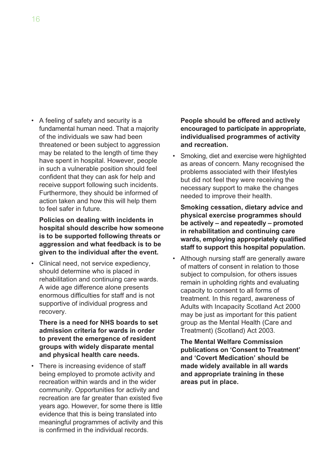• A feeling of safety and security is a fundamental human need. That a majority of the individuals we saw had been threatened or been subject to aggression may be related to the length of time they have spent in hospital. However, people in such a vulnerable position should feel confident that they can ask for help and receive support following such incidents. Furthermore, they should be informed of action taken and how this will help them to feel safer in future.

 **Policies on dealing with incidents in hospital should describe how someone is to be supported following threats or aggression and what feedback is to be given to the individual after the event.**

• Clinical need, not service expediency, should determine who is placed in rehabilitation and continuing care wards. A wide age difference alone presents enormous difficulties for staff and is not supportive of individual progress and recovery.

 **There is a need for NHS boards to set admission criteria for wards in order to prevent the emergence of resident groups with widely disparate mental and physical health care needs.** 

• There is increasing evidence of staff being employed to promote activity and recreation within wards and in the wider community. Opportunities for activity and recreation are far greater than existed five years ago. However, for some there is little evidence that this is being translated into meaningful programmes of activity and this is confirmed in the individual records.

 **People should be offered and actively encouraged to participate in appropriate, individualised programmes of activity and recreation.**

Smoking, diet and exercise were highlighted as areas of concern. Many recognised the problems associated with their lifestyles but did not feel they were receiving the necessary support to make the changes needed to improve their health.

 **Smoking cessation, dietary advice and physical exercise programmes should be actively – and repeatedly – promoted in rehabilitation and continuing care wards, employing appropriately qualified staff to support this hospital population.**

• Although nursing staff are generally aware of matters of consent in relation to those subject to compulsion, for others issues remain in upholding rights and evaluating capacity to consent to all forms of treatment. In this regard, awareness of Adults with Incapacity Scotland Act 2000 may be just as important for this patient group as the Mental Health (Care and Treatment) (Scotland) Act 2003.

 **The Mental Welfare Commission publications on 'Consent to Treatment' and 'Covert Medication' should be made widely available in all wards and appropriate training in these areas put in place.**